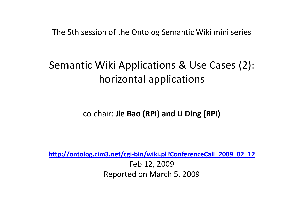The 5th session of the Ontolog Semantic Wiki mini series

### Semantic Wiki Applications & Use Cases (2): horizontal applications

co-chair: **Jie Bao (RPI) and Li Ding (RPI)**

**http://ontolog.cim3.net/cgi-bin/wiki.pl?ConferenceCall\_2009\_02\_12**Feb 12, 2009Reported on March 5, 2009

1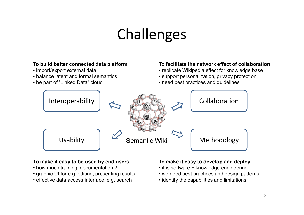## Challenges

#### Interoperability Collaboration**To build better connected data platform**• import/export external data • balance latent and formal semantics<br>she nett of "Linked Data" slaud • be part of "Linked Data" cloud **To facilitate the network effect of collaboration**• replicate Wikipedia effect for knowledge base • support personalization, privacy protection • need best practices and guidelines UsabilitySemantic Wiki Methodology

#### **To make it easy to be used by end users**

- how much training, documentation ?
- graphic UI for e.g. editing, presenting results
- effective data access interface, e.g. search

#### **To make it easy to develop and deploy**

- it is software + knowledge engineering
- we need best practices and design patterns
- identify the capabilities and limitations